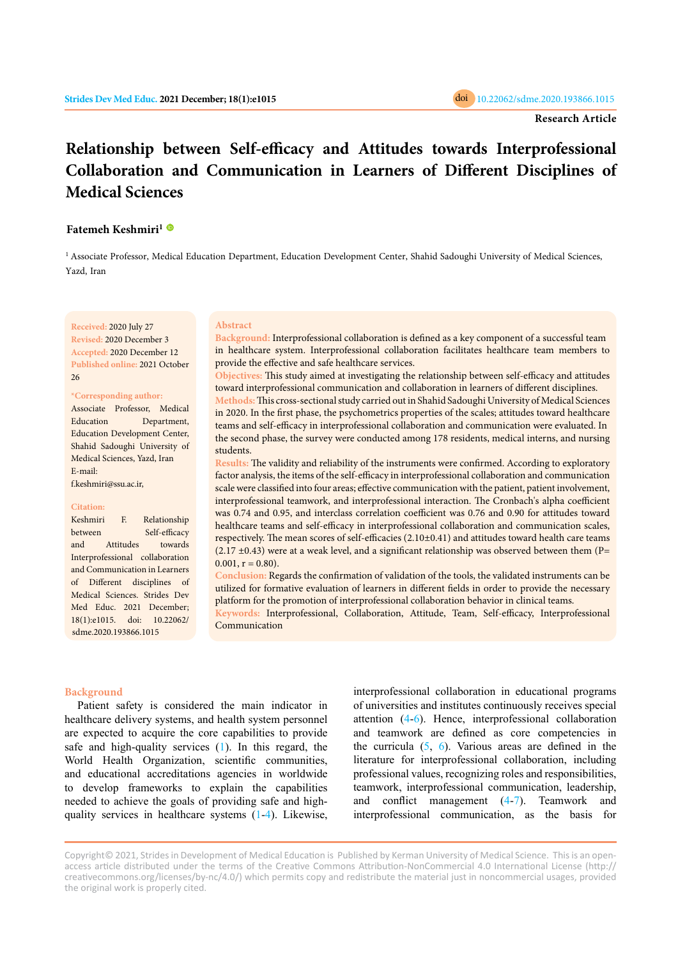# **Relationship between Self-efficacy and Attitudes towards Interprofessional Collaboration and Communication in Learners of Different Disciplines of Medical Sciences**

# **Fatemeh Keshmiri[1](https://orcid.org/0000-0002-6791-2579)**

<sup>1</sup> Associate Professor, Medical Education Department, Education Development Center, Shahid Sadoughi University of Medical Sciences, Yazd, Iran

**Received:** 2020 July 27 **Revised:** 2020 December 3 **Accepted:** 2020 December 12 **Published online:** 2021 October 26

#### **\*Corresponding author:**

Associate Professor, Medical Education Department, Education Development Center, Shahid Sadoughi University of Medical Sciences, Yazd, Iran E-mail:

f.keshmiri@ssu.ac.ir,

#### **Citation:**

Keshmiri F. Relationship between Self-efficacy and Attitudes towards Interprofessional collaboration and Communication in Learners of Different disciplines of Medical Sciences. Strides Dev Med Educ. 2021 December; 18(1):e1015. doi: 10.22062/ sdme.2020.193866.1015

#### **Abstract**

**Background:** Interprofessional collaboration is defined as a key component of a successful team in healthcare system. Interprofessional collaboration facilitates healthcare team members to provide the effective and safe healthcare services.

**Objectives:** This study aimed at investigating the relationship between self-efficacy and attitudes toward interprofessional communication and collaboration in learners of different disciplines. **Methods:** This cross-sectional study carried out in Shahid Sadoughi University of Medical Sciences in 2020. In the first phase, the psychometrics properties of the scales; attitudes toward healthcare teams and self-efficacy in interprofessional collaboration and communication were evaluated. In the second phase, the survey were conducted among 178 residents, medical interns, and nursing students.

**Results:** The validity and reliability of the instruments were confirmed. According to exploratory factor analysis, the items of the self-efficacy in interprofessional collaboration and communication scale were classified into four areas; effective communication with the patient, patient involvement, interprofessional teamwork, and interprofessional interaction. The Cronbach's alpha coefficient was 0.74 and 0.95, and interclass correlation coefficient was 0.76 and 0.90 for attitudes toward healthcare teams and self-efficacy in interprofessional collaboration and communication scales, respectively. The mean scores of self-efficacies (2.10±0.41) and attitudes toward health care teams  $(2.17 \pm 0.43)$  were at a weak level, and a significant relationship was observed between them (P=  $0.001$ ,  $r = 0.80$ ).

**Conclusion:** Regards the confirmation of validation of the tools, the validated instruments can be utilized for formative evaluation of learners in different fields in order to provide the necessary platform for the promotion of interprofessional collaboration behavior in clinical teams.

**Keywords:** Interprofessional, Collaboration, Attitude, Team, Self-efficacy, Interprofessional Communication

## **Background**

Patient safety is considered the main indicator in healthcare delivery systems, and health system personnel are expected to acquire the core capabilities to provide safe and high-quality services ([1\)](#page-6-0). In this regard, the World Health Organization, scientific communities, and educational accreditations agencies in worldwide to develop frameworks to explain the capabilities needed to achieve the goals of providing safe and highquality services in healthcare systems ([1-4\)](#page-6-0). Likewise,

interprofessional collaboration in educational programs of universities and institutes continuously receives special attention [\(4-6](#page-6-0)). Hence, interprofessional collaboration and teamwork are defined as core competencies in the curricula  $(5, 6)$  $(5, 6)$  $(5, 6)$  $(5, 6)$ . Various areas are defined in the literature for interprofessional collaboration, including professional values, recognizing roles and responsibilities, teamwork, interprofessional communication, leadership, and conflict management ([4-7](#page-6-0)). Teamwork and interprofessional communication, as the basis for

Copyright© 2021, Strides in Development of Medical Education is Published by Kerman University of Medical Science. This is an openaccess article distributed under the terms of the Creative Commons Attribution-NonCommercial 4.0 International License (http:// creativecommons.org/licenses/by-nc/4.0/) which permits copy and redistribute the material just in noncommercial usages, provided the original work is properly cited.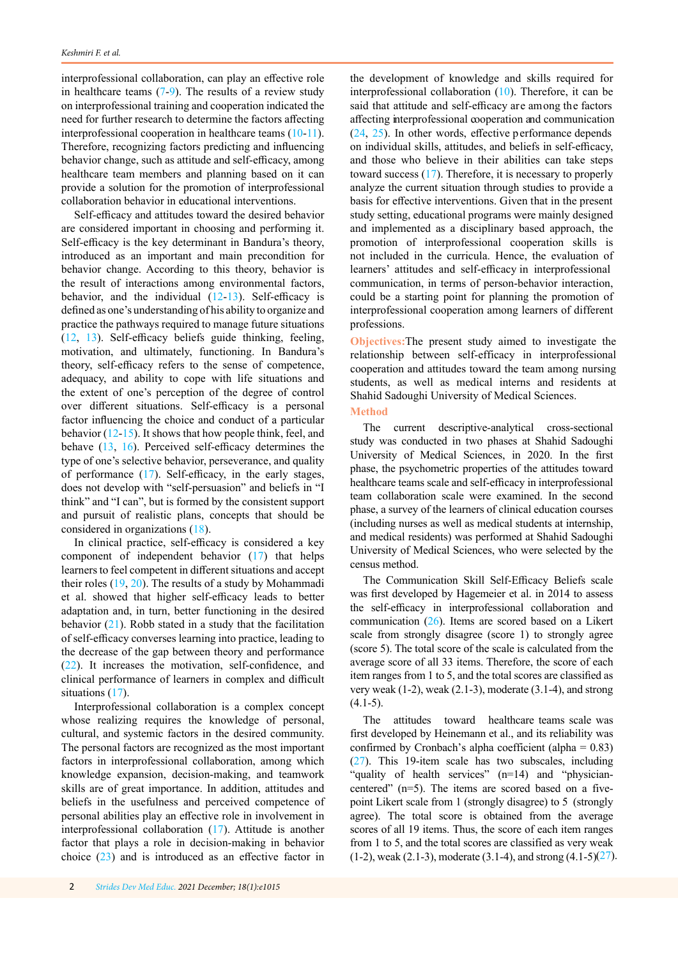interprofessional collaboration, can play an effective role in healthcare teams  $(7-9)$  $(7-9)$  $(7-9)$ . The results of a review study on interprofessional training and cooperation indicated the need for further research to determine the factors affecting interprofessional cooperation in healthcare teams [\(10-11](#page-6-0)). Therefore, recognizing factors predicting and influencing behavior change, such as attitude and self-efficacy, among healthcare team members and planning based on it can provide a solution for the promotion of interprofessional collaboration behavior in educational interventions.

Self-efficacy and attitudes toward the desired behavior are considered important in choosing and performing it. Self-efficacy is the key determinant in Bandura's theory, introduced as an important and main precondition for behavior change. According to this theory, behavior is the result of interactions among environmental factors, behavior, and the individual [\(12-13](#page-6-0)). Self-efficacy is defined as one's understanding of his ability to organize and practice the pathways required to manage future situations [\(12](#page-6-0), [13](#page-6-0)). Self-efficacy beliefs guide thinking, feeling, motivation, and ultimately, functioning. In Bandura's theory, self-efficacy refers to the sense of competence, adequacy, and ability to cope with life situations and the extent of one's perception of the degree of control over different situations. Self-efficacy is a personal factor influencing the choice and conduct of a particular behavior [\(12](#page-6-0)-[15\)](#page-6-0). It shows that how people think, feel, and behave ([13,](#page-6-0) [16](#page-6-0)). Perceived self-efficacy determines the type of one's selective behavior, perseverance, and quality of performance ([17](#page-5-0)). Self-efficacy, in the early stages, does not develop with "self-persuasion" and beliefs in "I think" and "I can", but is formed by the consistent support and pursuit of realistic plans, concepts that should be considered in organizations ([18\)](#page-6-0).

In clinical practice, self-efficacy is considered a key component of independent behavior ([17\)](#page-6-0) that helps learners to feel competent in different situations and accept their roles ([19,](#page-6-0) [20\)](#page-6-0). The results of a study by Mohammadi et al. showed that higher self-efficacy leads to better adaptation and, in turn, better functioning in the desired behavior  $(21)$  $(21)$ . Robb stated in a study that the facilitation of self-efficacy converses learning into practice, leading to the decrease of the gap between theory and performance [\(22](#page-6-0)). It increases the motivation, self-confidence, and clinical performance of learners in complex and difficult situations [\(17](#page-6-0)).

Interprofessional collaboration is a complex concept whose realizing requires the knowledge of personal, cultural, and systemic factors in the desired community. The personal factors are recognized as the most important factors in interprofessional collaboration, among which knowledge expansion, decision-making, and teamwork skills are of great importance. In addition, attitudes and beliefs in the usefulness and perceived competence of personal abilities play an effective role in involvement in interprofessional collaboration [\(17](#page-6-0)). Attitude is another factor that plays a role in decision-making in behavior choice ([23](#page-6-0)) and is introduced as an effective factor in

the development of knowledge and skills required for interprofessional collaboration ([10\)](#page-6-0). Therefore, it can be said that attitude and self-efficacy are among the factors affecting interprofessional cooperation and communication ([24,](#page-6-0) [25](#page-7-0)). In other words, effective performance depends on individual skills, attitudes, and beliefs in self-efficacy, and those who believe in their abilities can take steps toward success ([17\)](#page-6-0). Therefore, it is necessary to properly analyze the current situation through studies to provide a basis for effective interventions. Given that in the present study setting, educational programs were mainly designed and implemented as a disciplinary based approach, the promotion of interprofessional cooperation skills is not included in the curricula. Hence, the evaluation of learners' attitudes and self-efficacy in interprofessional communication, in terms of person-behavior interaction, could be a starting point for planning the promotion of interprofessional cooperation among learners of different professions.

**Objectives:**The present study aimed to investigate the relationship between self-efficacy in interprofessional cooperation and attitudes toward the team among nursing students, as well as medical interns and residents at Shahid Sadoughi University of Medical Sciences.

## **Method**

The current descriptive-analytical cross-sectional study was conducted in two phases at Shahid Sadoughi University of Medical Sciences, in 2020. In the first phase, the psychometric properties of the attitudes toward healthcare teams scale and self-efficacy in interprofessional team collaboration scale were examined. In the second phase, a survey of the learners of clinical education courses (including nurses as well as medical students at internship, and medical residents) was performed at Shahid Sadoughi University of Medical Sciences, who were selected by the census method.

The Communication Skill Self-Efficacy Beliefs scale was first developed by Hagemeier et al. in 2014 to assess the self-efficacy [in](#page-7-0) interprofessional collaboration and communication (26). Items are scored based on a Likert scale from strongly disagree (score 1) to strongly agree (score 5). The total score of the scale is calculated from the average score of all 33 items. Therefore, the score of each item ranges from 1 to 5, and the total scores are classified as very weak (1-2), weak (2.1-3), moderate (3.1-4), and strong  $(4.1-5)$ .

The attitudes toward healthcare teams scale was first developed by Heinemann et al., and its reliability was confirmed by Cronbach's [alp](#page-7-0)ha coefficient (alpha = 0.83) (27). This 19-item scale has two subscales, including "quality of health services" (n=14) and "physiciancentered" (n=5). The items are scored based on a fivepoint Likert scale from 1 (strongly disagree) to 5 (strongly agree). The total score is obtained from the average scores of all 19 items. Thus, the score of each item ranges from 1 to 5, and the total scores are classified as very weak  $(1-2)$ , weak  $(2.1-3)$ , moderate  $(3.1-4)$ , and strong  $(4.1-5)(27)$ .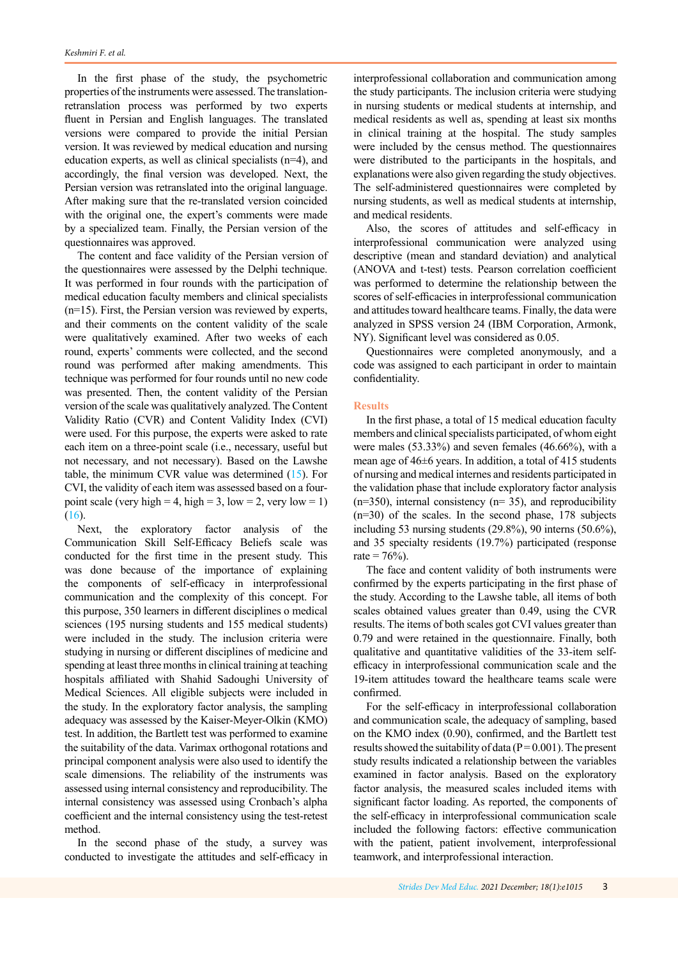In the first phase of the study, the psychometric properties of the instruments were assessed. The translationretranslation process was performed by two experts fluent in Persian and English languages. The translated versions were compared to provide the initial Persian version. It was reviewed by medical education and nursing education experts, as well as clinical specialists (n=4), and accordingly, the final version was developed. Next, the Persian version was retranslated into the original language. After making sure that the re-translated version coincided with the original one, the expert's comments were made by a specialized team. Finally, the Persian version of the questionnaires was approved.

The content and face validity of the Persian version of the questionnaires were assessed by the Delphi technique. It was performed in four rounds with the participation of medical education faculty members and clinical specialists (n=15). First, the Persian version was reviewed by experts, and their comments on the content validity of the scale were qualitatively examined. After two weeks of each round, experts' comments were collected, and the second round was performed after making amendments. This technique was performed for four rounds until no new code was presented. Then, the content validity of the Persian version of the scale was qualitatively analyzed. The Content Validity Ratio (CVR) and Content Validity Index (CVI) were used. For this purpose, the experts were asked to rate each item on a three-point scale (i.e., necessary, useful but not necessary, and not necessary). Based on the Lawshe table, the minimum CVR value was determined [\(15](#page-6-0)). For CVI, the validity of each item was assessed based on a fourpoint scale (very high = 4, high = 3, low = 2, very low = 1) [\(16\)](#page-6-0).

Next, the exploratory factor analysis of the Communication Skill Self-Efficacy Beliefs scale was conducted for the first time in the present study. This was done because of the importance of explaining the components of self-efficacy in interprofessional communication and the complexity of this concept. For this purpose, 350 learners in different disciplines o medical sciences (195 nursing students and 155 medical students) were included in the study. The inclusion criteria were studying in nursing or different disciplines of medicine and spending at least three months in clinical training at teaching hospitals affiliated with Shahid Sadoughi University of Medical Sciences. All eligible subjects were included in the study. In the exploratory factor analysis, the sampling adequacy was assessed by the Kaiser-Meyer-Olkin (KMO) test. In addition, the Bartlett test was performed to examine the suitability of the data. Varimax orthogonal rotations and principal component analysis were also used to identify the scale dimensions. The reliability of the instruments was assessed using internal consistency and reproducibility. The internal consistency was assessed using Cronbach's alpha coefficient and the internal consistency using the test-retest method.

In the second phase of the study, a survey was conducted to investigate the attitudes and self-efficacy in interprofessional collaboration and communication among the study participants. The inclusion criteria were studying in nursing students or medical students at internship, and medical residents as well as, spending at least six months in clinical training at the hospital. The study samples were included by the census method. The questionnaires were distributed to the participants in the hospitals, and explanations were also given regarding the study objectives. The self-administered questionnaires were completed by nursing students, as well as medical students at internship, and medical residents.

Also, the scores of attitudes and self-efficacy in interprofessional communication were analyzed using descriptive (mean and standard deviation) and analytical (ANOVA and t-test) tests. Pearson correlation coefficient was performed to determine the relationship between the scores of self-efficacies in interprofessional communication and attitudes toward healthcare teams. Finally, the data were analyzed in SPSS version 24 (IBM Corporation, Armonk, NY). Significant level was considered as 0.05.

Questionnaires were completed anonymously, and a code was assigned to each participant in order to maintain confidentiality.

#### **Results**

In the first phase, a total of 15 medical education faculty members and clinical specialists participated, of whom eight were males (53.33%) and seven females (46.66%), with a mean age of 46±6 years. In addition, a total of 415 students of nursing and medical internes and residents participated in the validation phase that include exploratory factor analysis  $(n=350)$ , internal consistency  $(n=35)$ , and reproducibility (n=30) of the scales. In the second phase, 178 subjects including 53 nursing students (29.8%), 90 interns (50.6%), and 35 specialty residents (19.7%) participated (response rate =  $76%$ ).

The face and content validity of both instruments were confirmed by the experts participating in the first phase of the study. According to the Lawshe table, all items of both scales obtained values greater than 0.49, using the CVR results. The items of both scales got CVI values greater than 0.79 and were retained in the questionnaire. Finally, both qualitative and quantitative validities of the 33-item selfefficacy in interprofessional communication scale and the 19-item attitudes toward the healthcare teams scale were confirmed.

For the self-efficacy in interprofessional collaboration and communication scale, the adequacy of sampling, based on the KMO index (0.90), confirmed, and the Bartlett test results showed the suitability of data ( $P = 0.001$ ). The present study results indicated a relationship between the variables examined in factor analysis. Based on the exploratory factor analysis, the measured scales included items with significant factor loading. As reported, the components of the self-efficacy in interprofessional communication scale included the following factors: effective communication with the patient, patient involvement, interprofessional teamwork, and interprofessional interaction.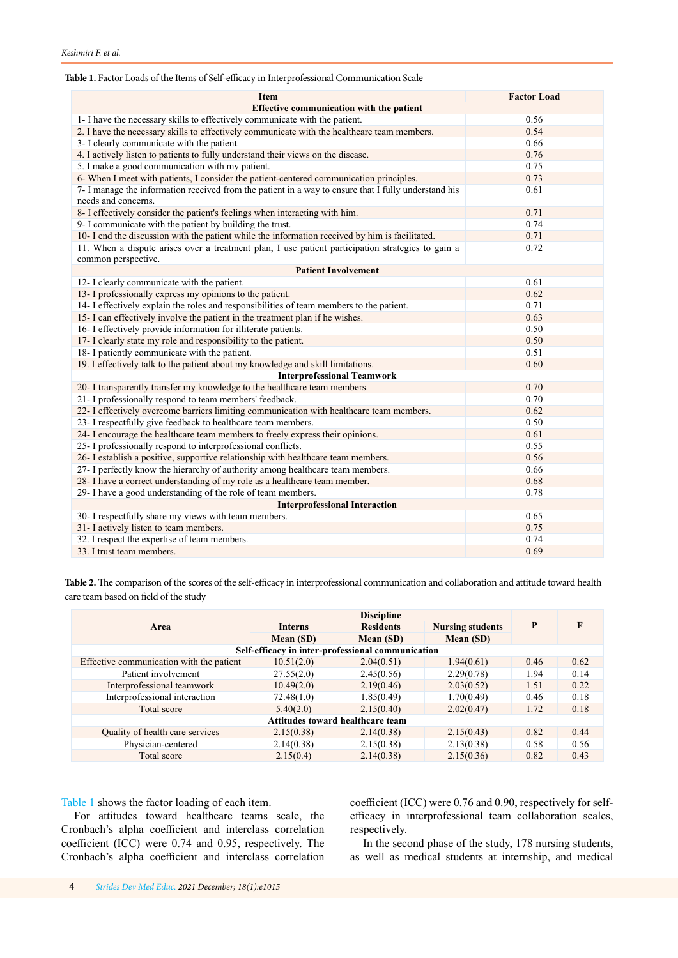## <span id="page-3-0"></span>**Table 1.** Factor Loads of the Items of Self-efficacy in Interprofessional Communication Scale

| <b>Item</b>                                                                                                                 | <b>Factor Load</b> |  |  |  |  |  |
|-----------------------------------------------------------------------------------------------------------------------------|--------------------|--|--|--|--|--|
| <b>Effective communication with the patient</b>                                                                             |                    |  |  |  |  |  |
| 1- I have the necessary skills to effectively communicate with the patient.                                                 | 0.56               |  |  |  |  |  |
| 2. I have the necessary skills to effectively communicate with the healthcare team members.                                 | 0.54               |  |  |  |  |  |
| 3- I clearly communicate with the patient.                                                                                  | 0.66               |  |  |  |  |  |
| 4. I actively listen to patients to fully understand their views on the disease.                                            | 0.76               |  |  |  |  |  |
| 5. I make a good communication with my patient.                                                                             | 0.75               |  |  |  |  |  |
| 6- When I meet with patients, I consider the patient-centered communication principles.                                     | 0.73               |  |  |  |  |  |
| 7- I manage the information received from the patient in a way to ensure that I fully understand his<br>needs and concerns. | 0.61               |  |  |  |  |  |
| 8- I effectively consider the patient's feelings when interacting with him.                                                 | 0.71               |  |  |  |  |  |
| 9- I communicate with the patient by building the trust.                                                                    | 0.74               |  |  |  |  |  |
| 10- I end the discussion with the patient while the information received by him is facilitated.                             | 0.71               |  |  |  |  |  |
| 11. When a dispute arises over a treatment plan, I use patient participation strategies to gain a<br>common perspective.    | 0.72               |  |  |  |  |  |
| <b>Patient Involvement</b>                                                                                                  |                    |  |  |  |  |  |
| 12- I clearly communicate with the patient.                                                                                 | 0.61               |  |  |  |  |  |
| 13- I professionally express my opinions to the patient.                                                                    | 0.62               |  |  |  |  |  |
| 14- I effectively explain the roles and responsibilities of team members to the patient.                                    | 0.71               |  |  |  |  |  |
| 15- I can effectively involve the patient in the treatment plan if he wishes.                                               | 0.63               |  |  |  |  |  |
| 16- I effectively provide information for illiterate patients.                                                              | 0.50               |  |  |  |  |  |
| 17- I clearly state my role and responsibility to the patient.                                                              | 0.50               |  |  |  |  |  |
| 18- I patiently communicate with the patient.                                                                               | 0.51               |  |  |  |  |  |
| 19. I effectively talk to the patient about my knowledge and skill limitations.                                             | 0.60               |  |  |  |  |  |
| <b>Interprofessional Teamwork</b>                                                                                           |                    |  |  |  |  |  |
| 20- I transparently transfer my knowledge to the healthcare team members.                                                   | 0.70               |  |  |  |  |  |
| 21- I professionally respond to team members' feedback.                                                                     | 0.70               |  |  |  |  |  |
| 22- I effectively overcome barriers limiting communication with healthcare team members.                                    | 0.62               |  |  |  |  |  |
| 23- I respectfully give feedback to healthcare team members.                                                                | 0.50               |  |  |  |  |  |
| 24- I encourage the healthcare team members to freely express their opinions.                                               | 0.61               |  |  |  |  |  |
| 25- I professionally respond to interprofessional conflicts.                                                                | 0.55               |  |  |  |  |  |
| 26- I establish a positive, supportive relationship with healthcare team members.                                           | 0.56               |  |  |  |  |  |
| 27- I perfectly know the hierarchy of authority among healthcare team members.                                              | 0.66               |  |  |  |  |  |
| 28- I have a correct understanding of my role as a healthcare team member.                                                  | 0.68               |  |  |  |  |  |
| 29- I have a good understanding of the role of team members.                                                                | 0.78               |  |  |  |  |  |
| <b>Interprofessional Interaction</b>                                                                                        |                    |  |  |  |  |  |
| 30- I respectfully share my views with team members.                                                                        | 0.65               |  |  |  |  |  |
| 31- I actively listen to team members.                                                                                      | 0.75               |  |  |  |  |  |
| 32. I respect the expertise of team members.                                                                                | 0.74               |  |  |  |  |  |
| 33. I trust team members.                                                                                                   | 0.69               |  |  |  |  |  |

Table 2. The comparison of the scores of the self-efficacy in interprofessional communication and collaboration and attitude toward health care team based on field of the study

|                                                   | <b>Discipline</b> |                  |                         |      |      |
|---------------------------------------------------|-------------------|------------------|-------------------------|------|------|
| Area                                              | <b>Interns</b>    | <b>Residents</b> | <b>Nursing students</b> | P    | F    |
|                                                   | Mean (SD)         | Mean (SD)        | Mean (SD)               |      |      |
| Self-efficacy in inter-professional communication |                   |                  |                         |      |      |
| Effective communication with the patient          | 10.51(2.0)        | 2.04(0.51)       | 1.94(0.61)              | 0.46 | 0.62 |
| Patient involvement                               | 27.55(2.0)        | 2.45(0.56)       | 2.29(0.78)              | 1.94 | 0.14 |
| Interprofessional teamwork                        | 10.49(2.0)        | 2.19(0.46)       | 2.03(0.52)              | 1.51 | 0.22 |
| Interprofessional interaction                     | 72.48(1.0)        | 1.85(0.49)       | 1.70(0.49)              | 0.46 | 0.18 |
| Total score                                       | 5.40(2.0)         | 2.15(0.40)       | 2.02(0.47)              | 1.72 | 0.18 |
| Attitudes toward healthcare team                  |                   |                  |                         |      |      |
| Quality of health care services                   | 2.15(0.38)        | 2.14(0.38)       | 2.15(0.43)              | 0.82 | 0.44 |
| Physician-centered                                | 2.14(0.38)        | 2.15(0.38)       | 2.13(0.38)              | 0.58 | 0.56 |
| Total score                                       | 2.15(0.4)         | 2.14(0.38)       | 2.15(0.36)              | 0.82 | 0.43 |

Table 1 shows the factor loading of each item.

For attitudes toward healthcare teams scale, the Cronbach's alpha coefficient and interclass correlation coefficient (ICC) were 0.74 and 0.95, respectively. The Cronbach's alpha coefficient and interclass correlation

coefficient (ICC) were 0.76 and 0.90, respectively for selfefficacy in interprofessional team collaboration scales, respectively.

In the second phase of the study, 178 nursing students, as well as medical students at internship, and medical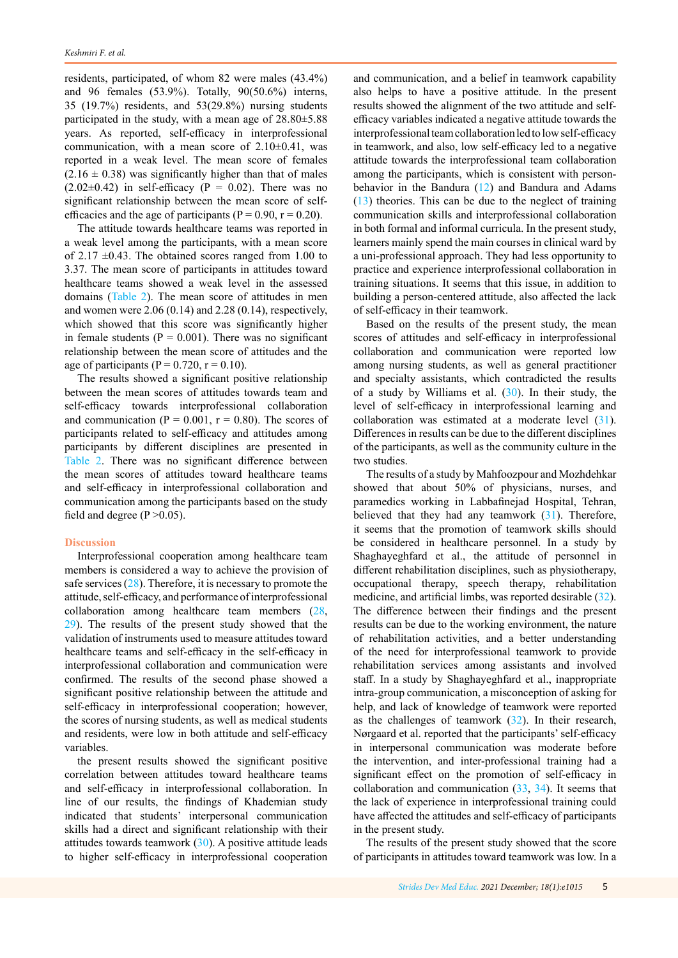residents, participated, of whom 82 were males (43.4%) and 96 females (53.9%). Totally, 90(50.6%) interns, 35 (19.7%) residents, and 53(29.8%) nursing students participated in the study, with a mean age of 28.80±5.88 years. As reported, self-efficacy in interprofessional communication, with a mean score of  $2.10\pm0.41$ , was reported in a weak level. The mean score of females  $(2.16 \pm 0.38)$  was significantly higher than that of males  $(2.02\pm0.42)$  in self-efficacy (P = 0.02). There was no significant relationship between the mean score of selfefficacies and the age of participants ( $P = 0.90$ ,  $r = 0.20$ ).

The attitude towards healthcare teams was reported in a weak level among the participants, with a mean score of 2.17  $\pm$ 0.43. The obtained scores ranged from 1.00 to 3.37. The mean score of participants in attitudes toward healthcare teams showed a weak level in the assessed domains ([Table 2\)](#page-3-0). The mean score of attitudes in men and women were 2.06 (0.14) and 2.28 (0.14), respectively, which showed that this score was significantly higher in female students ( $P = 0.001$ ). There was no significant relationship between the mean score of attitudes and the age of participants ( $P = 0.720$ ,  $r = 0.10$ ).

The results showed a significant positive relationship between the mean scores of attitudes towards team and self-efficacy towards interprofessional collaboration and communication ( $P = 0.001$ ,  $r = 0.80$ ). The scores of participants related to self-efficacy and attitudes among participants by different disciplines are presented in [Table 2](#page-3-0). There was no significant difference between the mean scores of attitudes toward healthcare teams and self-efficacy in interprofessional collaboration and communication among the participants based on the study field and degree  $(P > 0.05)$ .

## **Discussion**

Interprofessional cooperation among healthcare team members is considered a way to achieve the provision of safe services ([28](#page-7-0)). Therefore, it is necessary to promote the attitude, self-efficacy, and performance of interprofessional collaboration among healthcare team members ([28](#page-7-0), [29\)](#page-7-0). The results of the present study showed that the validation of instruments used to measure attitudes toward healthcare teams and self-efficacy in the self-efficacy in interprofessional collaboration and communication were confirmed. The results of the second phase showed a significant positive relationship between the attitude and self-efficacy in interprofessional cooperation; however, the scores of nursing students, as well as medical students and residents, were low in both attitude and self-efficacy variables.

the present results showed the significant positive correlation between attitudes toward healthcare teams and self-efficacy in interprofessional collaboration. In line of our results, the findings of Khademian study indicated that students' interpersonal communication skills had a direct and significant relationship with their attitudes towards teamwork [\(30](#page-7-0)). A positive attitude leads to higher self-efficacy in interprofessional cooperation

and communication, and a belief in teamwork capability also helps to have a positive attitude. In the present results showed the alignment of the two attitude and selfefficacy variables indicated a negative attitude towards the interprofessional team collaboration led to low self-efficacy in teamwork, and also, low self-efficacy led to a negative attitude towards the interprofessional team collaboration among the participants, which is consistent with personbehavior in the Bandura ([12](#page-6-0)) and Bandura and Adams ([13\)](#page-6-0) theories. This can be due to the neglect of training communication skills and interprofessional collaboration in both formal and informal curricula. In the present study, learners mainly spend the main courses in clinical ward by a uni-professional approach. They had less opportunity to practice and experience interprofessional collaboration in training situations. It seems that this issue, in addition to building a person-centered attitude, also affected the lack of self-efficacy in their teamwork.

Based on the results of the present study, the mean scores of attitudes and self-efficacy in interprofessional collaboration and communication were reported low among nursing students, as well as general practitioner and specialty assistants, which contradicted the results of a study by Williams et al.  $(30)$  $(30)$ . In their study, the level of self-efficacy in interprofessional learning and collaboration was estimated at a moderate level ([31\)](#page-7-0). Differences in results can be due to the different disciplines of the participants, as well as the community culture in the two studies.

The results of a study by Mahfoozpour and Mozhdehkar showed that about 50% of physicians, nurses, and paramedics working in Labbafinejad Hospital, Tehran, believed that they had any teamwork  $(31)$  $(31)$ . Therefore, it seems that the promotion of teamwork skills should be considered in healthcare personnel. In a study by Shaghayeghfard et al., the attitude of personnel in different rehabilitation disciplines, such as physiotherapy, occupational therapy, speech therapy, rehabilitation medicine, and artificial limbs, was reported desirable ([32\)](#page-7-0). The difference between their findings and the present results can be due to the working environment, the nature of rehabilitation activities, and a better understanding of the need for interprofessional teamwork to provide rehabilitation services among assistants and involved staff. In a study by Shaghayeghfard et al., inappropriate intra-group communication, a misconception of asking for help, and lack of knowledge of teamwork were reported as the challenges of teamwork  $(32)$  $(32)$ . In their research, Nørgaard et al. reported that the participants' self-efficacy in interpersonal communication was moderate before the intervention, and inter-professional training had a significant effect on the promotion of self-efficacy in collaboration and communication  $(33, 34)$  $(33, 34)$  $(33, 34)$  $(33, 34)$ . It seems that the lack of experience in interprofessional training could have affected the attitudes and self-efficacy of participants in the present study.

The results of the present study showed that the score of participants in attitudes toward teamwork was low. In a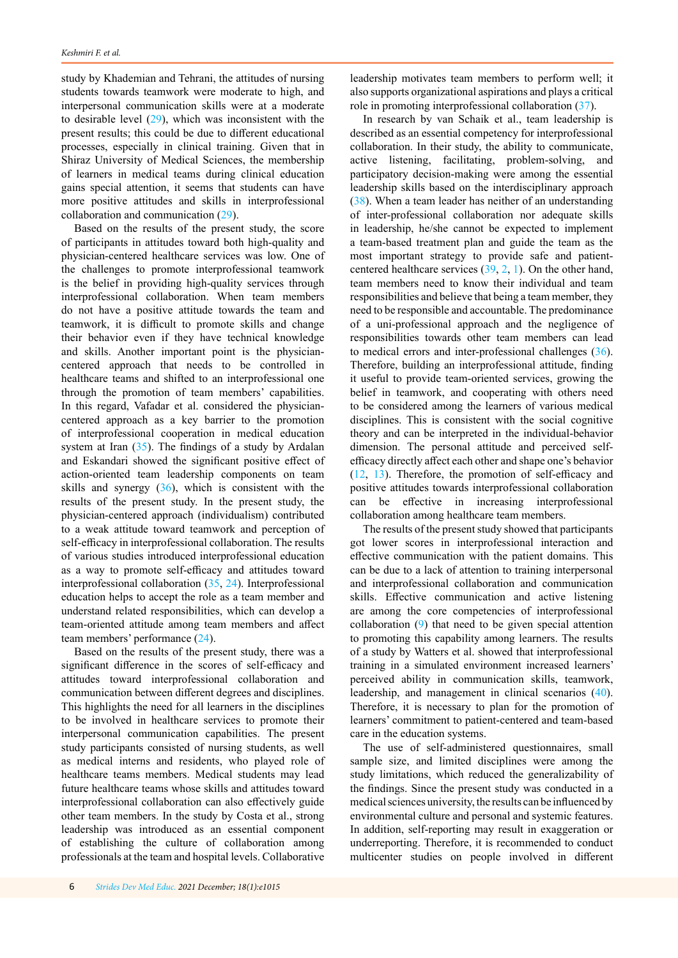<span id="page-5-0"></span>study by Khademian and Tehrani, the attitudes of nursing students towards teamwork were moderate to high, and interpersonal communication skills were at a moderate to desirable level  $(29)$  $(29)$ , which was inconsistent with the present results; this could be due to different educational processes, especially in clinical training. Given that in Shiraz University of Medical Sciences, the membership of learners in medical teams during clinical education gains special attention, it seems that students can have more positive attitudes and skills in interprofessional collaboration and communication [\(29](#page-7-0)).

Based on the results of the present study, the score of participants in attitudes toward both high-quality and physician-centered healthcare services was low. One of the challenges to promote interprofessional teamwork is the belief in providing high-quality services through interprofessional collaboration. When team members do not have a positive attitude towards the team and teamwork, it is difficult to promote skills and change their behavior even if they have technical knowledge and skills. Another important point is the physiciancentered approach that needs to be controlled in healthcare teams and shifted to an interprofessional one through the promotion of team members' capabilities. In this regard, Vafadar et al. considered the physiciancentered approach as a key barrier to the promotion of interprofessional cooperation in medical education system at Iran [\(35](#page-7-0)). The findings of a study by Ardalan and Eskandari showed the significant positive effect of action-oriented team leadership components on team skills and synergy  $(36)$  $(36)$ , which is consistent with the results of the present study. In the present study, the physician-centered approach (individualism) contributed to a weak attitude toward teamwork and perception of self-efficacy in interprofessional collaboration. The results of various studies introduced interprofessional education as a way to promote self-efficacy and attitudes toward interprofessional collaboration ([35,](#page-7-0) [24](#page-6-0)). Interprofessional education helps to accept the role as a team member and understand related responsibilities, which can develop a team-oriented attitude among team members and affect team members' performance ([24\)](#page-6-0).

Based on the results of the present study, there was a significant difference in the scores of self-efficacy and attitudes toward interprofessional collaboration and communication between different degrees and disciplines. This highlights the need for all learners in the disciplines to be involved in healthcare services to promote their interpersonal communication capabilities. The present study participants consisted of nursing students, as well as medical interns and residents, who played role of healthcare teams members. Medical students may lead future healthcare teams whose skills and attitudes toward interprofessional collaboration can also effectively guide other team members. In the study by Costa et al., strong leadership was introduced as an essential component of establishing the culture of collaboration among professionals at the team and hospital levels. Collaborative

leadership motivates team members to perform well; it also supports organizational aspirations and plays a critical role in promoting interprofessional collaboration [\(37](#page-7-0)).

In research by van Schaik et al., team leadership is described as an essential competency for interprofessional collaboration. In their study, the ability to communicate, active listening, facilitating, problem-solving, and participatory decision-making were among the essential leadership skills based on the interdisciplinary approach ([38](#page-7-0)). When a team leader has neither of an understanding of inter-professional collaboration nor adequate skills in leadership, he/she cannot be expected to implement a team-based treatment plan and guide the team as the most important strategy to provide safe and patientcentered healthcare services ([39,](#page-7-0) [2,](#page-6-0) [1\)](#page-6-0). On the other hand, team members need to know their individual and team responsibilities and believe that being a team member, they need to be responsible and accountable. The predominance of a uni-professional approach and the negligence of responsibilities towards other team members can lead to medical errors and inter-professional challenges ([36\)](#page-7-0). Therefore, building an interprofessional attitude, finding it useful to provide team-oriented services, growing the belief in teamwork, and cooperating with others need to be considered among the learners of various medical disciplines. This is consistent with the social cognitive theory and can be interpreted in the individual-behavior dimension. The personal attitude and perceived selfefficacy directly affect each other and shape one's behavior ([12,](#page-6-0) [13](#page-6-0)). Therefore, the promotion of self-efficacy and positive attitudes towards interprofessional collaboration can be effective in increasing interprofessional collaboration among healthcare team members.

The results of the present study showed that participants got lower scores in interprofessional interaction and effective communication with the patient domains. This can be due to a lack of attention to training interpersonal and interprofessional collaboration and communication skills. Effective communication and active listening are among the core competencies of interprofessional collaboration [\(9](#page-6-0)) that need to be given special attention to promoting this capability among learners. The results of a study by Watters et al. showed that interprofessional training in a simulated environment increased learners' perceived ability in communication skills, teamwork, leadership, and management in clinical scenarios ([40\)](#page-7-0). Therefore, it is necessary to plan for the promotion of learners' commitment to patient-centered and team-based care in the education systems.

The use of self-administered questionnaires, small sample size, and limited disciplines were among the study limitations, which reduced the generalizability of the findings. Since the present study was conducted in a medical sciences university, the results can be influenced by environmental culture and personal and systemic features. In addition, self-reporting may result in exaggeration or underreporting. Therefore, it is recommended to conduct multicenter studies on people involved in different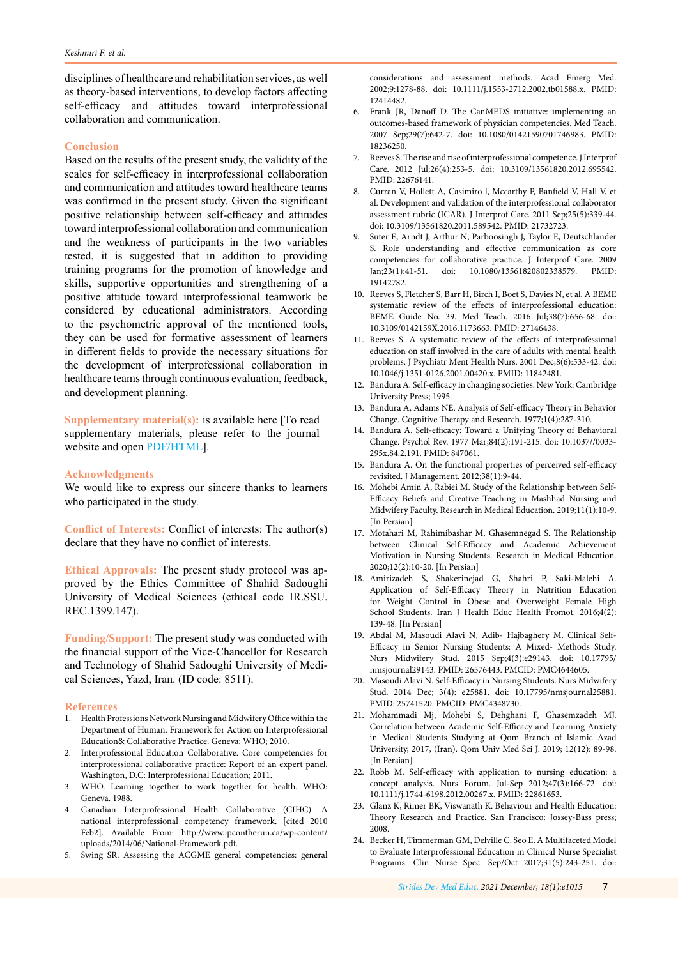<span id="page-6-0"></span>disciplines of healthcare and rehabilitation services, as well as theory-based interventions, to develop factors affecting self-efficacy and attitudes toward interprofessional collaboration and communication.

## **Conclusion**

Based on the results of the present study, the validity of the scales for self-efficacy in interprofessional collaboration and communication and attitudes toward healthcare teams was confirmed in the present study. Given the significant positive relationship between self-efficacy and attitudes toward interprofessional collaboration and communication and the weakness of participants in the two variables tested, it is suggested that in addition to providing training programs for the promotion of knowledge and skills, supportive opportunities and strengthening of a positive attitude toward interprofessional teamwork be considered by educational administrators. According to the psychometric approval of the mentioned tools, they can be used for formative assessment of learners in different fields to provide the necessary situations for the development of interprofessional collaboration in healthcare teams through continuous evaluation, feedback, and development planning.

**Supplementary material(s):** is available here [To read supplementary materials, please refer to the journal website and open [PDF/HTML](http://sdme.kmu.ac.ir/jufile?ar_sfile=814060)].

## **Acknowledgments**

We would like to express our sincere thanks to learners who participated in the study.

**Conflict of Interests:** Conflict of interests: The author(s) declare that they have no conflict of interests.

**Ethical Approvals:** The present study protocol was approved by the Ethics Committee of Shahid Sadoughi University of Medical Sciences (ethical code IR.SSU. REC.1399.147).

**Funding/Support:** The present study was conducted with the financial support of the Vice-Chancellor for Research and Technology of Shahid Sadoughi University of Medical Sciences, Yazd, Iran. (ID code: 8511).

#### **References**

- 1. Health Professions Network Nursing and Midwifery Office within the Department of Human. Framework for Action on Interprofessional Education& Collaborative Practice. Geneva: WHO; 2010.
- 2. Interprofessional Education Collaborative. Core competencies for interprofessional collaborative practice: Report of an expert panel. Washington, D.C: Interprofessional Education; 2011.
- 3. WHO. Learning together to work together for health. WHO: Geneva. 1988.
- 4. Canadian Interprofessional Health Collaborative (CIHC). A national interprofessional competency framework. [cited 2010 Feb2]. Available From: http://www.ipcontherun.ca/wp-content/ uploads/2014/06/National-Framework.pdf.
- 5. Swing SR. Assessing the ACGME general competencies: general

considerations and assessment methods. Acad Emerg Med. 2002;9:1278-88. doi: 10.1111/j.1553-2712.2002.tb01588.x. PMID: 12414482

- 6. Frank JR, Danoff D. The CanMEDS initiative: implementing an outcomes-based framework of physician competencies. Med Teach. 2007 Sep;29(7):642-7. doi: 10.1080/01421590701746983. PMID: 18236250.
- 7. Reeves S. The rise and rise of interprofessional competence. J Interprof Care. 2012 Jul;26(4):253-5. doi: 10.3109/13561820.2012.695542. PMID: 22676141.
- 8. Curran V, Hollett A, Casimiro l, Mccarthy P, Banfield V, Hall V, et al. Development and validation of the interprofessional collaborator assessment rubric (ICAR). J Interprof Care. 2011 Sep;25(5):339-44. doi: 10.3109/13561820.2011.589542. PMID: 21732723.
- 9. Suter E, Arndt J, Arthur N, Parboosingh J, Taylor E, Deutschlander S. Role understanding and effective communication as core competencies for collaborative practice. J Interprof Care. 2009 Jan;23(1):41-51. doi: 10.1080/13561820802338579. PMID: 19142782.
- 10. Reeves S, Fletcher S, Barr H, Birch I, Boet S, Davies N, et al. A BEME systematic review of the effects of interprofessional education: BEME Guide No. 39. Med Teach. 2016 Jul;38(7):656-68. doi: 10.3109/0142159X.2016.1173663. PMID: 27146438.
- 11. Reeves S. A systematic review of the effects of interprofessional education on staff involved in the care of adults with mental health problems. J Psychiatr Ment Health Nurs. 2001 Dec;8(6):533-42. doi: 10.1046/j.1351-0126.2001.00420.x. PMID: 11842481.
- 12. Bandura A. Self-efficacy in changing societies. New York: Cambridge University Press; 1995.
- 13. Bandura A, Adams NE. Analysis of Self-efficacy Theory in Behavior Change. Cognitive Therapy and Research. 1977;1(4):287-310.
- 14. Bandura A. Self-efficacy: Toward a Unifying Theory of Behavioral Change. Psychol Rev. 1977 Mar;84(2):191-215. doi: 10.1037//0033- 295x.84.2.191. PMID: 847061.
- 15. Bandura A. On the functional properties of perceived self-efficacy revisited. J Management. 2012;38(1):9-44.
- 16. Mohebi Amin A, Rabiei M. Study of the Relationship between Self-Efficacy Beliefs and Creative Teaching in Mashhad Nursing and Midwifery Faculty. Research in Medical Education. 2019;11(1):10-9. [In Persian]
- 17. Motahari M, Rahimibashar M, Ghasemnegad S. The Relationship between Clinical Self-Efficacy and Academic Achievement Motivation in Nursing Students. Research in Medical Education. 2020;12(2):10-20. [In Persian]
- 18. Amirizadeh S, Shakerinejad G, Shahri P, Saki-Malehi A. Application of Self-Efficacy Theory in Nutrition Education for Weight Control in Obese and Overweight Female High School Students. Iran J Health Educ Health Promot. 2016;4(2): 139-48. [In Persian]
- 19. Abdal M, Masoudi Alavi N, Adib- Hajbaghery M. Clinical Self-Efficacy in Senior Nursing Students: A Mixed- Methods Study. Nurs Midwifery Stud. 2015 Sep;4(3):e29143. doi: 10.17795/ nmsjournal29143. PMID: 26576443. PMCID: PMC4644605.
- 20. Masoudi Alavi N. Self-Efficacy in Nursing Students. Nurs Midwifery Stud. 2014 Dec; 3(4): e25881. doi: 10.17795/nmsjournal25881. PMID: 25741520. PMCID: PMC4348730.
- 21. Mohammadi Mj, Mohebi S, Dehghani F, Ghasemzadeh MJ. Correlation between Academic Self-Efficacy and Learning Anxiety in Medical Students Studying at Qom Branch of Islamic Azad University, 2017, (Iran). Qom Univ Med Sci J. 2019; 12(12): 89-98. [In Persian]
- 22. Robb M. Self-efficacy with application to nursing education: a concept analysis. Nurs Forum. Jul-Sep 2012;47(3):166-72. doi: 10.1111/j.1744-6198.2012.00267.x. PMID: 22861653.
- 23. Glanz K, Rimer BK, Viswanath K. Behaviour and Health Education: Theory Research and Practice. San Francisco: Jossey-Bass press; 2008.
- 24. Becker H, Timmerman GM, Delville C, Seo E. A Multifaceted Model to Evaluate Interprofessional Education in Clinical Nurse Specialist Programs. Clin Nurse Spec. Sep/Oct 2017;31(5):243-251. doi: